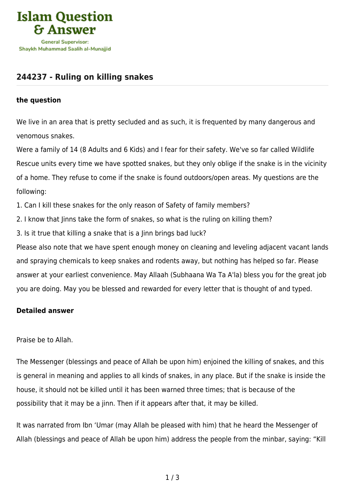

## **[244237 - Ruling on killing snakes](https://islamqa.com/en/answers/244237/ruling-on-killing-snakes)**

## **the question**

We live in an area that is pretty secluded and as such, it is frequented by many dangerous and venomous snakes.

Were a family of 14 (8 Adults and 6 Kids) and I fear for their safety. We've so far called Wildlife Rescue units every time we have spotted snakes, but they only oblige if the snake is in the vicinity of a home. They refuse to come if the snake is found outdoors/open areas. My questions are the following:

1. Can I kill these snakes for the only reason of Safety of family members?

2. I know that Jinns take the form of snakes, so what is the ruling on killing them?

3. Is it true that killing a snake that is a Jinn brings bad luck?

Please also note that we have spent enough money on cleaning and leveling adjacent vacant lands and spraying chemicals to keep snakes and rodents away, but nothing has helped so far. Please answer at your earliest convenience. May Allaah (Subhaana Wa Ta A'la) bless you for the great job you are doing. May you be blessed and rewarded for every letter that is thought of and typed.

## **Detailed answer**

Praise be to Allah.

The Messenger (blessings and peace of Allah be upon him) enjoined the killing of snakes, and this is general in meaning and applies to all kinds of snakes, in any place. But if the snake is inside the house, it should not be killed until it has been warned three times; that is because of the possibility that it may be a jinn. Then if it appears after that, it may be killed.

It was narrated from Ibn 'Umar (may Allah be pleased with him) that he heard the Messenger of Allah (blessings and peace of Allah be upon him) address the people from the minbar, saying: "Kill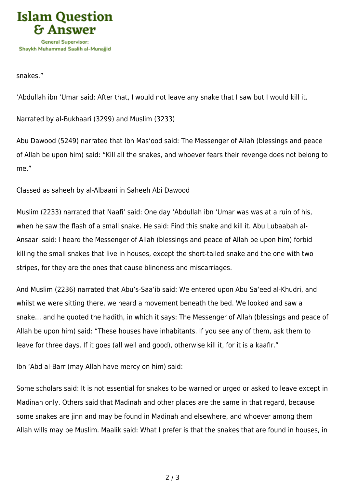

snakes."

'Abdullah ibn 'Umar said: After that, I would not leave any snake that I saw but I would kill it.

Narrated by al-Bukhaari (3299) and Muslim (3233)

Abu Dawood (5249) narrated that Ibn Mas'ood said: The Messenger of Allah (blessings and peace of Allah be upon him) said: "Kill all the snakes, and whoever fears their revenge does not belong to me."

Classed as saheeh by al-Albaani in Saheeh Abi Dawood

Muslim (2233) narrated that Naafi' said: One day 'Abdullah ibn 'Umar was was at a ruin of his, when he saw the flash of a small snake. He said: Find this snake and kill it. Abu Lubaabah al-Ansaari said: I heard the Messenger of Allah (blessings and peace of Allah be upon him) forbid killing the small snakes that live in houses, except the short-tailed snake and the one with two stripes, for they are the ones that cause blindness and miscarriages.

And Muslim (2236) narrated that Abu's-Saa'ib said: We entered upon Abu Sa'eed al-Khudri, and whilst we were sitting there, we heard a movement beneath the bed. We looked and saw a snake… and he quoted the hadith, in which it says: The Messenger of Allah (blessings and peace of Allah be upon him) said: "These houses have inhabitants. If you see any of them, ask them to leave for three days. If it goes (all well and good), otherwise kill it, for it is a kaafir."

Ibn 'Abd al-Barr (may Allah have mercy on him) said:

Some scholars said: It is not essential for snakes to be warned or urged or asked to leave except in Madinah only. Others said that Madinah and other places are the same in that regard, because some snakes are jinn and may be found in Madinah and elsewhere, and whoever among them Allah wills may be Muslim. Maalik said: What I prefer is that the snakes that are found in houses, in